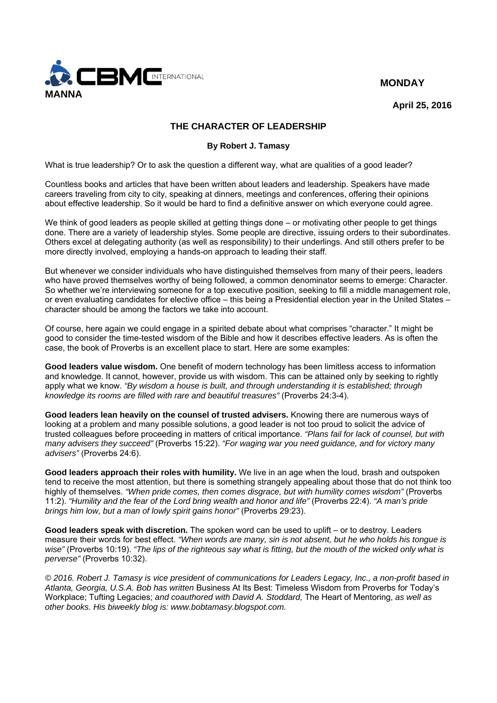



**April 25, 2016** 

## **THE CHARACTER OF LEADERSHIP**

## **By Robert J. Tamasy**

What is true leadership? Or to ask the question a different way, what are qualities of a good leader?

Countless books and articles that have been written about leaders and leadership. Speakers have made careers traveling from city to city, speaking at dinners, meetings and conferences, offering their opinions about effective leadership. So it would be hard to find a definitive answer on which everyone could agree.

We think of good leaders as people skilled at getting things done – or motivating other people to get things done. There are a variety of leadership styles. Some people are directive, issuing orders to their subordinates. Others excel at delegating authority (as well as responsibility) to their underlings. And still others prefer to be more directly involved, employing a hands-on approach to leading their staff.

But whenever we consider individuals who have distinguished themselves from many of their peers, leaders who have proved themselves worthy of being followed, a common denominator seems to emerge: Character. So whether we're interviewing someone for a top executive position, seeking to fill a middle management role, or even evaluating candidates for elective office – this being a Presidential election year in the United States – character should be among the factors we take into account.

Of course, here again we could engage in a spirited debate about what comprises "character." It might be good to consider the time-tested wisdom of the Bible and how it describes effective leaders. As is often the case, the book of Proverbs is an excellent place to start. Here are some examples:

**Good leaders value wisdom.** One benefit of modern technology has been limitless access to information and knowledge. It cannot, however, provide us with wisdom. This can be attained only by seeking to rightly apply what we know. *"By wisdom a house is built, and through understanding it is established; through knowledge its rooms are filled with rare and beautiful treasures"* (Proverbs 24:3-4).

**Good leaders lean heavily on the counsel of trusted advisers.** Knowing there are numerous ways of looking at a problem and many possible solutions, a good leader is not too proud to solicit the advice of trusted colleagues before proceeding in matters of critical importance. *"Plans fail for lack of counsel, but with many advisers they succeed"* (Proverbs 15:22). *"For waging war you need guidance, and for victory many advisers"* (Proverbs 24:6).

**Good leaders approach their roles with humility.** We live in an age when the loud, brash and outspoken tend to receive the most attention, but there is something strangely appealing about those that do not think too highly of themselves. *"When pride comes, then comes disgrace, but with humility comes wisdom"* (Proverbs 11:2). *"Humility and the fear of the Lord bring wealth and honor and life"* (Proverbs 22:4). *"A man's pride brings him low, but a man of lowly spirit gains honor"* (Proverbs 29:23).

**Good leaders speak with discretion.** The spoken word can be used to uplift – or to destroy. Leaders measure their words for best effect. *"When words are many, sin is not absent, but he who holds his tongue is wise"* (Proverbs 10:19). *"The lips of the righteous say what is fitting, but the mouth of the wicked only what is perverse"* (Proverbs 10:32).

*© 2016. Robert J. Tamasy is vice president of communications for Leaders Legacy, Inc., a non-profit based in Atlanta, Georgia, U.S.A. Bob has written* Business At Its Best: Timeless Wisdom from Proverbs for Today's Workplace; Tufting Legacies; *and coauthored with David A. Stoddard,* The Heart of Mentoring, *as well as other books. His biweekly blog is: www.bobtamasy.blogspot.com.*